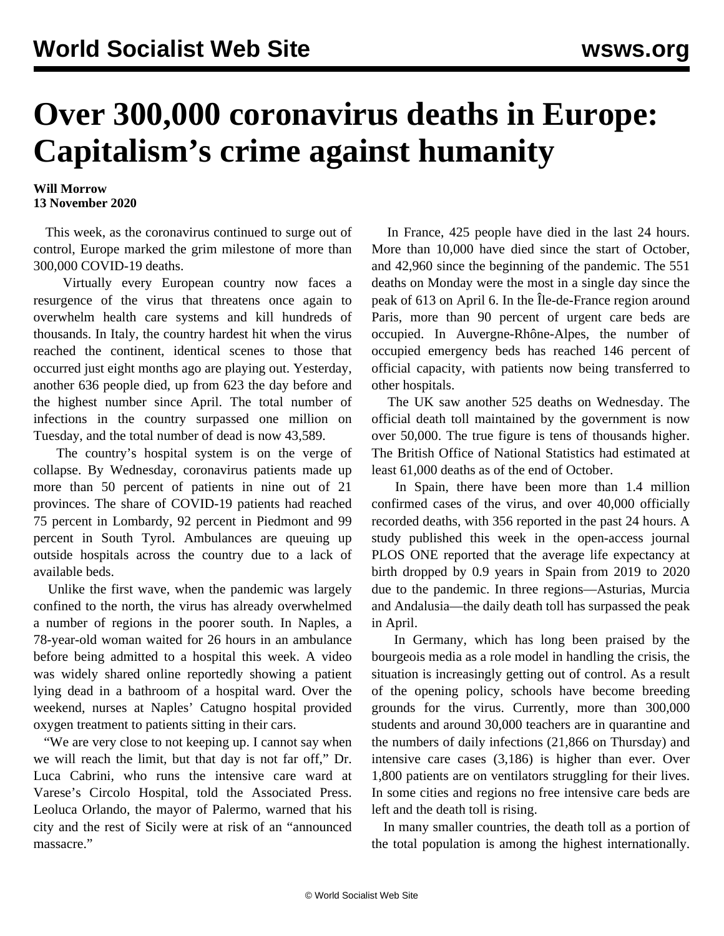## **Over 300,000 coronavirus deaths in Europe: Capitalism's crime against humanity**

## **Will Morrow 13 November 2020**

 This week, as the coronavirus continued to surge out of control, Europe marked the grim milestone of more than 300,000 COVID-19 deaths.

 Virtually every European country now faces a resurgence of the virus that threatens once again to overwhelm health care systems and kill hundreds of thousands. In Italy, the country hardest hit when the virus reached the continent, identical scenes to those that occurred just eight months ago are playing out. Yesterday, another 636 people died, up from 623 the day before and the highest number since April. The total number of infections in the country surpassed one million on Tuesday, and the total number of dead is now 43,589.

 The country's hospital system is on the verge of collapse. By Wednesday, coronavirus patients made up more than 50 percent of patients in nine out of 21 provinces. The share of COVID-19 patients had reached 75 percent in Lombardy, 92 percent in Piedmont and 99 percent in South Tyrol. Ambulances are queuing up outside hospitals across the country due to a lack of available beds.

 Unlike the first wave, when the pandemic was largely confined to the north, the virus has already overwhelmed a number of regions in the poorer south. In Naples, a 78-year-old woman waited for 26 hours in an ambulance before being admitted to a hospital this week. A video was widely shared online reportedly showing a patient lying dead in a bathroom of a hospital ward. Over the weekend, nurses at Naples' Catugno hospital provided oxygen treatment to patients sitting in their cars.

 "We are very close to not keeping up. I cannot say when we will reach the limit, but that day is not far off," Dr. Luca Cabrini, who runs the intensive care ward at Varese's Circolo Hospital, told the Associated Press. Leoluca Orlando, the mayor of Palermo, warned that his city and the rest of Sicily were at risk of an "announced massacre."

 In France, 425 people have died in the last 24 hours. More than 10,000 have died since the start of October, and 42,960 since the beginning of the pandemic. The 551 deaths on Monday were the most in a single day since the peak of 613 on April 6. In the Île-de-France region around Paris, more than 90 percent of urgent care beds are occupied. In Auvergne-Rhône-Alpes, the number of occupied emergency beds has reached 146 percent of official capacity, with patients now being transferred to other hospitals.

 The UK saw another 525 deaths on Wednesday. The official death toll maintained by the government is now over 50,000. The true figure is tens of thousands higher. The British Office of National Statistics had estimated at least 61,000 deaths as of the end of October.

 In Spain, there have been more than 1.4 million confirmed cases of the virus, and over 40,000 officially recorded deaths, with 356 reported in the past 24 hours. A study published this week in the open-access journal PLOS ONE reported that the average life expectancy at birth dropped by 0.9 years in Spain from 2019 to 2020 due to the pandemic. In three regions—Asturias, Murcia and Andalusia—the daily death toll has surpassed the peak in April.

 In Germany, which has long been praised by the bourgeois media as a role model in handling the crisis, the situation is increasingly getting out of control. As a result of the opening policy, schools have become breeding grounds for the virus. Currently, more than 300,000 students and around 30,000 teachers are in quarantine and the numbers of daily infections (21,866 on Thursday) and intensive care cases (3,186) is higher than ever. Over 1,800 patients are on ventilators struggling for their lives. In some cities and regions no free intensive care beds are left and the death toll is rising.

 In many smaller countries, the death toll as a portion of the total population is among the highest internationally.